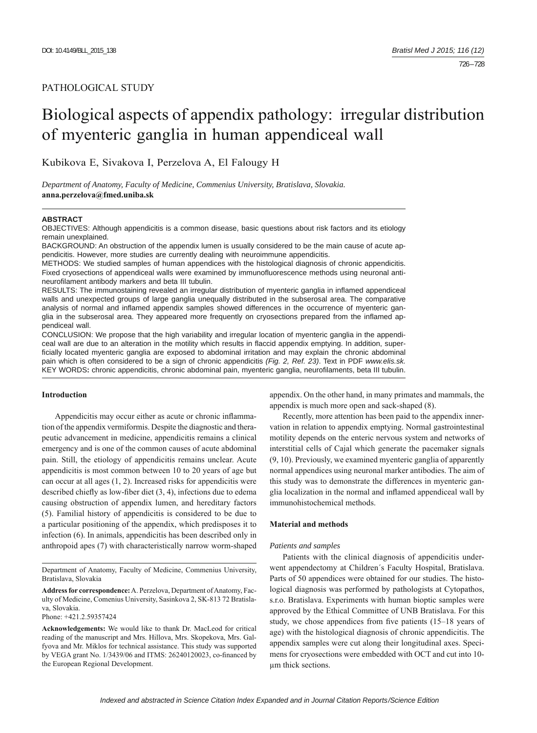# PATHOLOGICAL STUDY

# Biological aspects of appendix pathology: irregular distribution of myenteric ganglia in human appendiceal wall

Kubikova E, Sivakova I, Perzelova A, El Falougy H

*Department of Anatomy, Faculty of Medicine, Commenius University, Bratislava, Slovakia.*  **anna.perzelova@fmed.uniba.sk**

#### **ABSTRACT**

OBJECTIVES: Although appendicitis is a common disease, basic questions about risk factors and its etiology remain unexplained.

BACKGROUND: An obstruction of the appendix lumen is usually considered to be the main cause of acute appendicitis. However, more studies are currently dealing with neuroimmune appendicitis.

METHODS: We studied samples of human appendices with the histological diagnosis of chronic appendicitis. Fixed cryosections of appendiceal walls were examined by immunofluorescence methods using neuronal antineurofilament antibody markers and beta III tubulin.

RESULTS: The immunostaining revealed an irregular distribution of myenteric ganglia in inflamed appendiceal walls and unexpected groups of large ganglia unequally distributed in the subserosal area. The comparative analysis of normal and inflamed appendix samples showed differences in the occurrence of myenteric ganglia in the subserosal area. They appeared more frequently on cryosections prepared from the inflamed appendiceal wall.

CONCLUSION: We propose that the high variability and irregular location of myenteric ganglia in the appendiceal wall are due to an alteration in the motility which results in flaccid appendix emptying. In addition, superficially located myenteric ganglia are exposed to abdominal irritation and may explain the chronic abdominal pain which is often considered to be a sign of chronic appendicitis *(Fig. 2, Ref. 23)*. Text in PDF *www.elis.sk.* KEY WORDS: chronic appendicitis, chronic abdominal pain, myenteric ganglia, neurofilaments, beta III tubulin.

## **Introduction**

Appendicitis may occur either as acute or chronic inflammation of the appendix vermiformis. Despite the diagnostic and therapeutic advancement in medicine, appendicitis remains a clinical emergency and is one of the common causes of acute abdominal pain. Still, the etiology of appendicitis remains unclear. Acute appendicitis is most common between 10 to 20 years of age but can occur at all ages (1, 2). Increased risks for appendicitis were described chiefly as low-fiber diet  $(3, 4)$ , infections due to edema causing obstruction of appendix lumen, and hereditary factors (5). Familial history of appendicitis is considered to be due to a particular positioning of the appendix, which predisposes it to infection (6). In animals, appendicitis has been described only in anthropoid apes (7) with characteristically narrow worm-shaped

Department of Anatomy, Faculty of Medicine, Commenius University, Bratislava, Slovakia

**Address for correspondence:** A. Perzelova, Department of Anatomy, Faculty of Medicine, Comenius University, Sasinkova 2, SK-813 72 Bratislava, Slovakia.

Phone: +421.2.59357424

**Acknowledgements:** We would like to thank Dr. MacLeod for critical reading of the manuscript and Mrs. Hillova, Mrs. Skopekova, Mrs. Galfyova and Mr. Miklos for technical assistance. This study was supported by VEGA grant No. 1/3439/06 and ITMS: 26240120023, co-financed by the European Regional Development.

appendix. On the other hand, in many primates and mammals, the appendix is much more open and sack-shaped (8).

Recently, more attention has been paid to the appendix innervation in relation to appendix emptying. Normal gastrointestinal motility depends on the enteric nervous system and networks of interstitial cells of Cajal which generate the pacemaker signals (9, 10). Previously, we examined myenteric ganglia of apparently normal appendices using neuronal marker antibodies. The aim of this study was to demonstrate the differences in myenteric ganglia localization in the normal and inflamed appendiceal wall by immunohistochemical methods.

#### **Material and methods**

#### *Patients and samples*

Patients with the clinical diagnosis of appendicitis underwent appendectomy at Children´s Faculty Hospital, Bratislava. Parts of 50 appendices were obtained for our studies. The histological diagnosis was performed by pathologists at Cytopathos, s.r.o. Bratislava. Experiments with human bioptic samples were approved by the Ethical Committee of UNB Bratislava. For this study, we chose appendices from five patients  $(15-18)$  years of age) with the histological diagnosis of chronic appendicitis. The appendix samples were cut along their longitudinal axes. Specimens for cryosections were embedded with OCT and cut into 10 μm thick sections.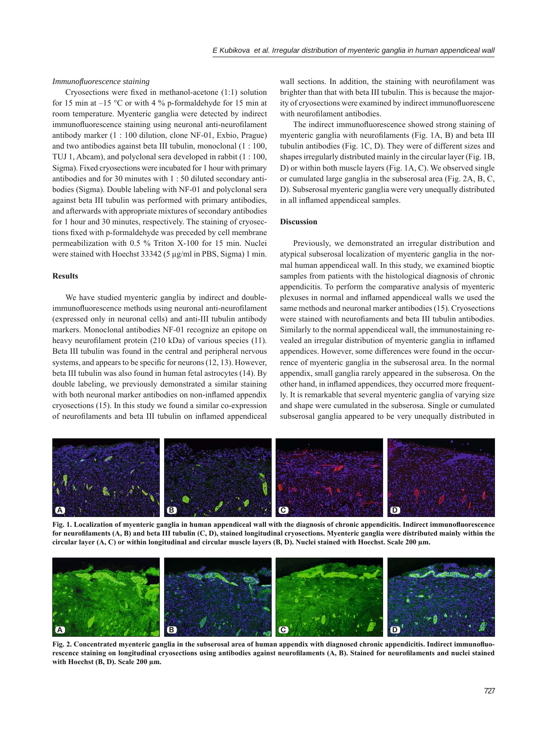#### *Immunofl uorescence staining*

Cryosections were fixed in methanol-acetone  $(1:1)$  solution for 15 min at  $-15$  °C or with 4 % p-formaldehyde for 15 min at room temperature. Myenteric ganglia were detected by indirect immunofluorescence staining using neuronal anti-neurofilament antibody marker (1 : 100 dilution, clone NF-01, Exbio, Prague) and two antibodies against beta III tubulin, monoclonal (1 : 100, TUJ 1, Abcam), and polyclonal sera developed in rabbit (1 : 100, Sigma). Fixed cryosections were incubated for 1 hour with primary antibodies and for 30 minutes with 1 : 50 diluted secondary antibodies (Sigma). Double labeling with NF-01 and polyclonal sera against beta III tubulin was performed with primary antibodies, and afterwards with appropriate mixtures of secondary antibodies for 1 hour and 30 minutes, respectively. The staining of cryosections fixed with p-formaldehyde was preceded by cell membrane permeabilization with 0.5 % Triton X-100 for 15 min. Nuclei were stained with Hoechst 33342 (5 μg/ml in PBS, Sigma) 1 min.

#### **Results**

We have studied myenteric ganglia by indirect and doubleimmunofluorescence methods using neuronal anti-neurofilament (expressed only in neuronal cells) and anti-III tubulin antibody markers. Monoclonal antibodies NF-01 recognize an epitope on heavy neurofilament protein (210 kDa) of various species (11). Beta III tubulin was found in the central and peripheral nervous systems, and appears to be specific for neurons  $(12, 13)$ . However, beta III tubulin was also found in human fetal astrocytes (14). By double labeling, we previously demonstrated a similar staining with both neuronal marker antibodies on non-inflamed appendix cryosections (15). In this study we found a similar co-expression of neurofilaments and beta III tubulin on inflamed appendiceal

wall sections. In addition, the staining with neurofilament was brighter than that with beta III tubulin. This is because the majority of cryosections were examined by indirect immunofluorescene with neurofilament antibodies.

The indirect immunofluorescence showed strong staining of myenteric ganglia with neurofilaments (Fig. 1A, B) and beta III tubulin antibodies (Fig. 1C, D). They were of different sizes and shapes irregularly distributed mainly in the circular layer (Fig. 1B, D) or within both muscle layers (Fig. 1A, C). We observed single or cumulated large ganglia in the subserosal area (Fig. 2A, B, C, D). Subserosal myenteric ganglia were very unequally distributed in all inflamed appendiceal samples.

#### **Discussion**

Previously, we demonstrated an irregular distribution and atypical subserosal localization of myenteric ganglia in the normal human appendiceal wall. In this study, we examined bioptic samples from patients with the histological diagnosis of chronic appendicitis. To perform the comparative analysis of myenteric plexuses in normal and inflamed appendiceal walls we used the same methods and neuronal marker antibodies (15). Cryosections were stained with neurofiaments and beta III tubulin antibodies. Similarly to the normal appendiceal wall, the immunostaining revealed an irregular distribution of myenteric ganglia in inflamed appendices. However, some differences were found in the occurrence of myenteric ganglia in the subserosal area. In the normal appendix, small ganglia rarely appeared in the subserosa. On the other hand, in inflamed appendices, they occurred more frequently. It is remarkable that several myenteric ganglia of varying size and shape were cumulated in the subserosa. Single or cumulated subserosal ganglia appeared to be very unequally distributed in



Fig. 1. Localization of myenteric ganglia in human appendiceal wall with the diagnosis of chronic appendicitis. Indirect immunofluorescence for neurofilaments (A, B) and beta III tubulin (C, D), stained longitudinal cryosections. Myenteric ganglia were distributed mainly within the **circular layer (A, C) or within longitudinal and circular muscle layers (B, D). Nuclei stained with Hoechst. Scale 200 μm.**



Fig. 2. Concentrated myenteric ganglia in the subserosal area of human appendix with diagnosed chronic appendicitis. Indirect immunofluorescence staining on longitudinal cryosections using antibodies against neurofilaments (A, B). Stained for neurofilaments and nuclei stained **with Hoechst (B, D). Scale 200 μm.**